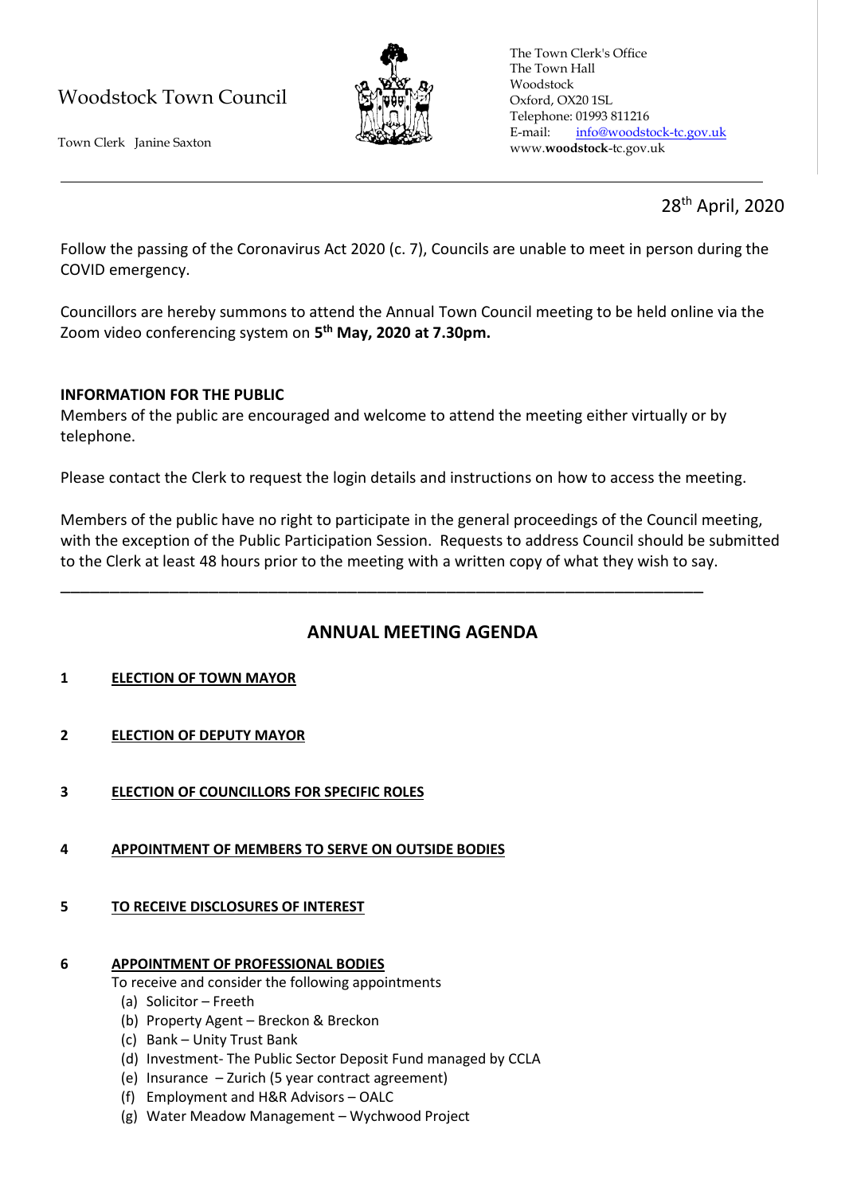# Woodstock Town Council



Town Clerk Janine Saxton

The Town Clerk's Office The Town Hall Woodstock Oxford, OX20 1SL Telephone: 01993 811216 E-mail: [info@woodstock-tc.gov.uk](mailto:info@woodstock-tc.gov.uk) www.**woodstock**-tc.gov.uk

## 28th April, 2020

Follow the passing of the Coronavirus Act 2020 (c. 7), Councils are unable to meet in person during the COVID emergency.

Councillors are hereby summons to attend the Annual Town Council meeting to be held online via the Zoom video conferencing system on **5 th May, 2020 at 7.30pm.**

### **INFORMATION FOR THE PUBLIC**

Members of the public are encouraged and welcome to attend the meeting either virtually or by telephone.

Please contact the Clerk to request the login details and instructions on how to access the meeting.

\_\_\_\_\_\_\_\_\_\_\_\_\_\_\_\_\_\_\_\_\_\_\_\_\_\_\_\_\_\_\_\_\_\_\_\_\_\_\_\_\_\_\_\_\_\_\_\_\_\_\_\_\_\_\_\_\_\_\_\_\_\_\_\_\_

Members of the public have no right to participate in the general proceedings of the Council meeting, with the exception of the Public Participation Session. Requests to address Council should be submitted to the Clerk at least 48 hours prior to the meeting with a written copy of what they wish to say.

### **ANNUAL MEETING AGENDA**

#### **1 ELECTION OF TOWN MAYOR**

- **2 ELECTION OF DEPUTY MAYOR**
- **3 ELECTION OF COUNCILLORS FOR SPECIFIC ROLES**
- **4 APPOINTMENT OF MEMBERS TO SERVE ON OUTSIDE BODIES**

#### **5 TO RECEIVE DISCLOSURES OF INTEREST**

#### **6 APPOINTMENT OF PROFESSIONAL BODIES**

To receive and consider the following appointments

- (a) Solicitor Freeth
- (b) Property Agent Breckon & Breckon
- (c) Bank Unity Trust Bank
- (d) Investment- The Public Sector Deposit Fund managed by CCLA
- (e) Insurance Zurich (5 year contract agreement)
- (f) Employment and H&R Advisors OALC
- (g) Water Meadow Management Wychwood Project